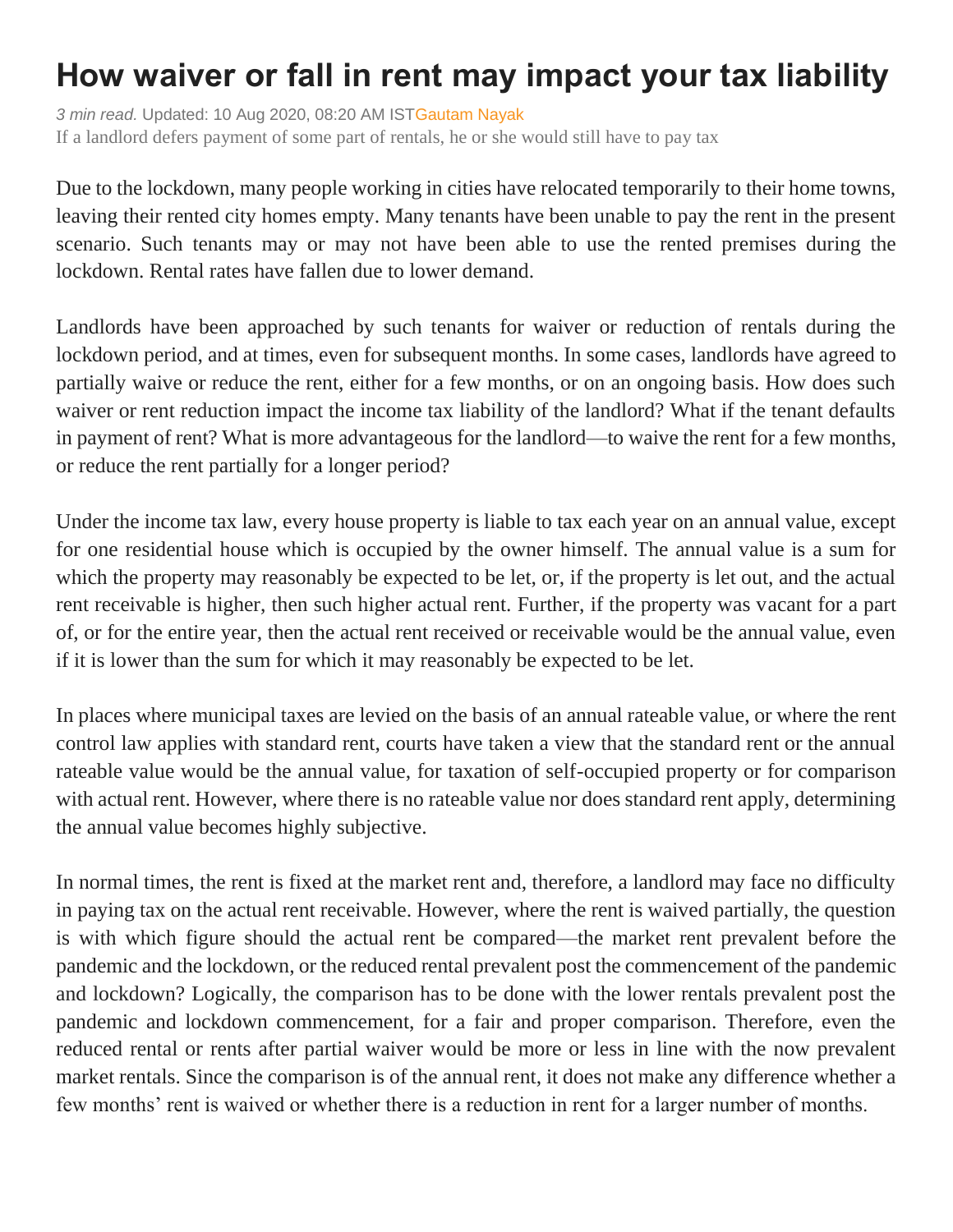## **How waiver or fall in rent may impact your tax liability**

*3 min read.* Updated: 10 Aug 2020, 08:20 AM IS[TGautam Nayak](https://www.livemint.com/Search/Link/Author/Gautam-Nayak) If a landlord defers payment of some part of rentals, he or she would still have to pay tax

Due to the lockdown, many people working in cities have relocated temporarily to their home towns, leaving their rented city homes empty. Many tenants have been unable to pay the rent in the present scenario. Such tenants may or may not have been able to use the rented premises during the lockdown. Rental rates have fallen due to lower demand.

Landlords have been approached by such tenants for waiver or reduction of rentals during the lockdown period, and at times, even for subsequent months. In some cases, landlords have agreed to partially waive or reduce the rent, either for a few months, or on an ongoing basis. How does such waiver or rent reduction impact the income tax liability of the landlord? What if the tenant defaults in payment of rent? What is more advantageous for the landlord—to waive the rent for a few months, or reduce the rent partially for a longer period?

Under the income tax law, every house property is liable to tax each year on an annual value, except for one residential house which is occupied by the owner himself. The annual value is a sum for which the property may reasonably be expected to be let, or, if the property is let out, and the actual rent receivable is higher, then such higher actual rent. Further, if the property was vacant for a part of, or for the entire year, then the actual rent received or receivable would be the annual value, even if it is lower than the sum for which it may reasonably be expected to be let.

In places where municipal taxes are levied on the basis of an annual rateable value, or where the rent control law applies with standard rent, courts have taken a view that the standard rent or the annual rateable value would be the annual value, for taxation of self-occupied property or for comparison with actual rent. However, where there is no rateable value nor does standard rent apply, determining the annual value becomes highly subjective.

In normal times, the rent is fixed at the market rent and, therefore, a landlord may face no difficulty in paying tax on the actual rent receivable. However, where the rent is waived partially, the question is with which figure should the actual rent be compared—the market rent prevalent before the pandemic and the lockdown, or the reduced rental prevalent post the commencement of the pandemic and lockdown? Logically, the comparison has to be done with the lower rentals prevalent post the pandemic and lockdown commencement, for a fair and proper comparison. Therefore, even the reduced rental or rents after partial waiver would be more or less in line with the now prevalent market rentals. Since the comparison is of the annual rent, it does not make any difference whether a few months' rent is waived or whether there is a reduction in rent for a larger number of months.